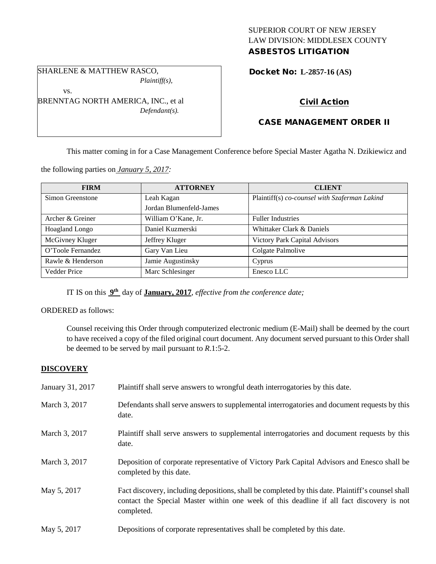### SUPERIOR COURT OF NEW JERSEY LAW DIVISION: MIDDLESEX COUNTY ASBESTOS LITIGATION

SHARLENE & MATTHEW RASCO, *Plaintiff(s),*

vs.

BRENNTAG NORTH AMERICA, INC., et al *Defendant(s).*

Docket No: **L-2857-16 (AS)** 

# Civil Action

## CASE MANAGEMENT ORDER II

This matter coming in for a Case Management Conference before Special Master Agatha N. Dzikiewicz and

the following parties on *January 5, 2017:*

| <b>FIRM</b>         | <b>ATTORNEY</b>         | <b>CLIENT</b>                                 |
|---------------------|-------------------------|-----------------------------------------------|
| Simon Greenstone    | Leah Kagan              | Plaintiff(s) co-counsel with Szaferman Lakind |
|                     | Jordan Blumenfeld-James |                                               |
| Archer & Greiner    | William O'Kane, Jr.     | <b>Fuller Industries</b>                      |
| Hoagland Longo      | Daniel Kuzmerski        | Whittaker Clark & Daniels                     |
| McGivney Kluger     | Jeffrey Kluger          | Victory Park Capital Advisors                 |
| O'Toole Fernandez   | Gary Van Lieu           | Colgate Palmolive                             |
| Rawle & Henderson   | Jamie Augustinsky       | Cyprus                                        |
| <b>Vedder Price</b> | Marc Schlesinger        | Enesco LLC                                    |

IT IS on this **9th** day of **January, 2017**, *effective from the conference date;*

### ORDERED as follows:

Counsel receiving this Order through computerized electronic medium (E-Mail) shall be deemed by the court to have received a copy of the filed original court document. Any document served pursuant to this Order shall be deemed to be served by mail pursuant to *R*.1:5-2.

### **DISCOVERY**

| January 31, 2017 | Plaintiff shall serve answers to wrongful death interrogatories by this date.                                                                                                                               |
|------------------|-------------------------------------------------------------------------------------------------------------------------------------------------------------------------------------------------------------|
| March 3, 2017    | Defendants shall serve answers to supplemental interrogatories and document requests by this<br>date.                                                                                                       |
| March 3, 2017    | Plaintiff shall serve answers to supplemental interrogatories and document requests by this<br>date.                                                                                                        |
| March 3, 2017    | Deposition of corporate representative of Victory Park Capital Advisors and Enesco shall be<br>completed by this date.                                                                                      |
| May 5, 2017      | Fact discovery, including depositions, shall be completed by this date. Plaintiff's counsel shall<br>contact the Special Master within one week of this deadline if all fact discovery is not<br>completed. |
| May 5, 2017      | Depositions of corporate representatives shall be completed by this date.                                                                                                                                   |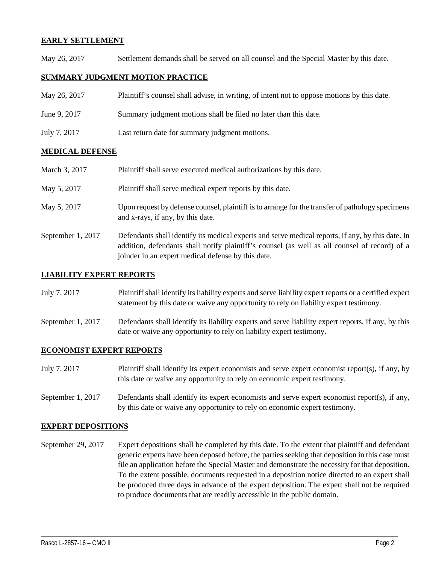#### **EARLY SETTLEMENT**

May 26, 2017 Settlement demands shall be served on all counsel and the Special Master by this date.

#### **SUMMARY JUDGMENT MOTION PRACTICE**

| May 26, 2017 | Plaintiff's counsel shall advise, in writing, of intent not to oppose motions by this date. |
|--------------|---------------------------------------------------------------------------------------------|
| June 9, 2017 | Summary judgment motions shall be filed no later than this date.                            |
| July 7, 2017 | Last return date for summary judgment motions.                                              |

### **MEDICAL DEFENSE**

| March 3, 2017     | Plaintiff shall serve executed medical authorizations by this date.                                                                                                                                                                                      |
|-------------------|----------------------------------------------------------------------------------------------------------------------------------------------------------------------------------------------------------------------------------------------------------|
| May 5, 2017       | Plaintiff shall serve medical expert reports by this date.                                                                                                                                                                                               |
| May 5, 2017       | Upon request by defense counsel, plaintiff is to arrange for the transfer of pathology specimens<br>and x-rays, if any, by this date.                                                                                                                    |
| September 1, 2017 | Defendants shall identify its medical experts and serve medical reports, if any, by this date. In<br>addition, defendants shall notify plaintiff's counsel (as well as all counsel of record) of a<br>joinder in an expert medical defense by this date. |

#### **LIABILITY EXPERT REPORTS**

| July 7, 2017 | Plaintiff shall identify its liability experts and serve liability expert reports or a certified expert |
|--------------|---------------------------------------------------------------------------------------------------------|
|              | statement by this date or waive any opportunity to rely on liability expert testimony.                  |

September 1, 2017 Defendants shall identify its liability experts and serve liability expert reports, if any, by this date or waive any opportunity to rely on liability expert testimony.

#### **ECONOMIST EXPERT REPORTS**

| July 7, 2017 | Plaintiff shall identify its expert economists and serve expert economist report(s), if any, by |
|--------------|-------------------------------------------------------------------------------------------------|
|              | this date or waive any opportunity to rely on economic expert testimony.                        |

September 1, 2017 Defendants shall identify its expert economists and serve expert economist report(s), if any, by this date or waive any opportunity to rely on economic expert testimony.

#### **EXPERT DEPOSITIONS**

September 29, 2017 Expert depositions shall be completed by this date. To the extent that plaintiff and defendant generic experts have been deposed before, the parties seeking that deposition in this case must file an application before the Special Master and demonstrate the necessity for that deposition. To the extent possible, documents requested in a deposition notice directed to an expert shall be produced three days in advance of the expert deposition. The expert shall not be required to produce documents that are readily accessible in the public domain.

\_\_\_\_\_\_\_\_\_\_\_\_\_\_\_\_\_\_\_\_\_\_\_\_\_\_\_\_\_\_\_\_\_\_\_\_\_\_\_\_\_\_\_\_\_\_\_\_\_\_\_\_\_\_\_\_\_\_\_\_\_\_\_\_\_\_\_\_\_\_\_\_\_\_\_\_\_\_\_\_\_\_\_\_\_\_\_\_\_\_\_\_\_\_\_\_\_\_\_\_\_\_\_\_\_\_\_\_\_\_